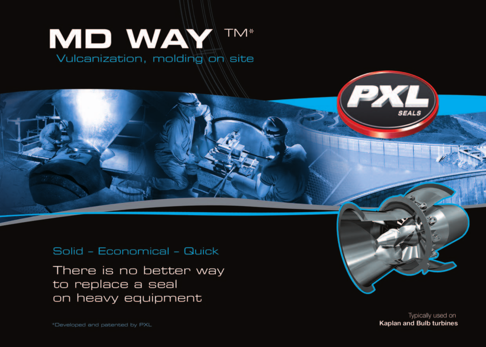# **MD WAY TM\*** Vulcanization, molding on site

## Solid - Economical - Quick

There is no better way to replace a seal on heavy equipment

> Typically used on **Kaplan and Bulb turbines**

**PXL**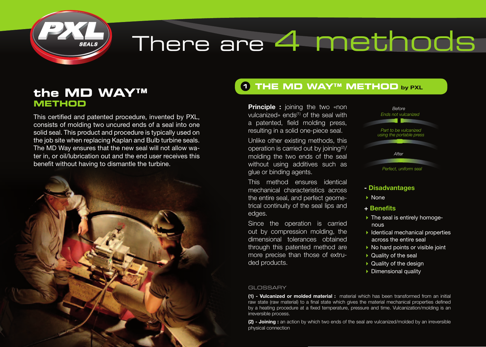

# There are 4 methods

# **the MD WAY™ METHOD**

This certified and patented procedure, invented by PXL, consists of molding two uncured ends of a seal into one solid seal. This product and procedure is typically used on the job site when replacing Kaplan and Bulb turbine seals. The MD Way ensures that the new seal will not allow water in, or oil/lubrication out and the end user receives this benefit without having to dismantle the turbine.



## **THE MD WAY™ METHOD 1** by PXL

**Principle :** joining the two «non vulcanized» ends<sup>(1)</sup> of the seal with a patented, field molding press, resulting in a solid one-piece seal.

Unlike other existing methods, this operation is carried out by joining<sup>(2)</sup>/ molding the two ends of the seal without using additives such as glue or binding agents.

This method ensures identical mechanical characteristics across the entire seal, and perfect geometrical continuity of the seal lips and edges.

Since the operation is carried out by compression molding, the dimensional tolerances obtained through this patented method are more precise than those of extruded products.



### - Disadvantages

- None
- + Benefits
- ▶ The seal is entirely homogenous
- $\blacktriangleright$  Identical mechanical properties across the entire seal
- ▶ No hard points or visible joint
- ▶ Quality of the seal
- ▶ Quality of the design
- **Dimensional quality**

#### **GLOSSARY**

(1) - Vulcanized or molded material : material which has been transformed from an initial raw state (raw material) to a final state which gives the material mechanical properties defined by a heating procedure at a fixed temperature, pressure and time. Vulcanization/molding is an irreversible process.

(2) - Joining : an action by which two ends of the seal are vulcanized/molded by an irreversible physical connection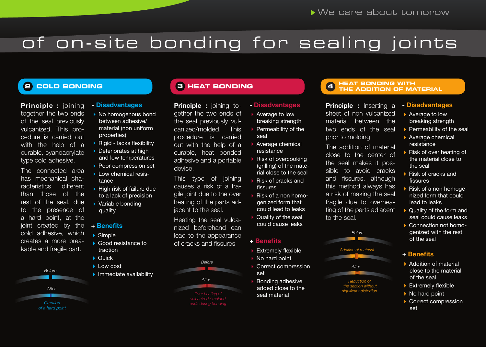# of on-site bonding for sealing joints

Principle : joining together the two ends of the seal previously vulcanized. This procedure is carried out with the help of a curable, cyanoacrylate type cold adhesive.

The connected area has mechanical characteristics different than those of the rest of the seal, due to the presence of a hard point, at the joint created by the cold adhesive, which creates a more breakable and fragile part.



## - Disadvantages

#### ▶ No homogenous bond between adhesive/ material (non uniform properties)

- ▶ Rigid lacks flexibility
- ▶ Deteriorates at high and low temperatures
- ▶ Poor compression set
- Low chemical resistance
- $\blacktriangleright$  High risk of failure due to a lack of precision
- Variable bonding quality

#### + Benefits

- Simple
- ▶ Good resistance to traction
- $\sum$  Quick
- **Low cost**
- **Immediate availability**

Principle : joining together the two ends of the seal previously vulcanized/molded. This procedure is carried out with the help of a curable, heat bonded adhesive and a portable device.

This type of joining causes a risk of a fragile joint due to the over heating of the parts adjacent to the seal.

Heating the seal vulcanized beforehand can lead to the appearance of cracks and fissures

*Before*

*After*



### - Disadvantages Average to low

- breaking strength
- ▶ Permeability of the seal
- Average chemical resistance
- Risk of overcooking (grilling) of the material close to the seal
- Risk of cracks and fissures
- Risk of a non homogenized form that could lead to leaks
- Quality of the seal could cause leaks
- + Benefits
- **Extremely flexible**
- ▶ No hard point
- Correct compression
- set Bonding adhesive added close to the seal material

# **<sup>3</sup> HEAT BONDING HEAT BONDING WITH 2 COLD BONDING <sup>4</sup> THE ADDITION OF MATERIAL**

Principle : Inserting a sheet of non vulcanized material between the two ends of the seal prior to molding

The addition of material close to the center of the seal makes it possible to avoid cracks and fissures, although this method always has a risk of making the seal fragile due to overheating of the parts adjacent to the seal.

*Before*

*Addition of material*

*After*

*Reduction of the section without significant distortion*



- Average to low breaking strength
- $\blacktriangleright$  Permeability of the seal
- ▶ Average chemical resistance
- Risk of over heating of the material close to the seal
- ▶ Risk of cracks and fissures
- Risk of a non homogenized form that could lead to leaks
- Quality of the form and seal could cause leaks
- Connection not homogenized with the rest of the seal

#### + Benefits

- ▶ Addition of material close to the material of the seal
- **Extremely flexible**
- ▶ No hard point
- ▶ Correct compression set